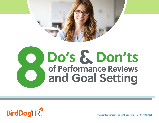

## **8Do's& Don'ts of Performance Reviews and Goal Setting**



**www.birddoghr.com • sales@birddoghr.com • 888.482.7021**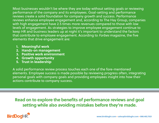Most businesses wouldn't be where they are today without setting goals or reviewing performance of the company and its employees. Goal-setting and performance reviews create a solid foundation for company growth and success. Performance reviews enhance employee engagement and, according to The Hay Group, companies with high engagement have 2.5 times more revenues compared to those with low levels of engagement. As strategies to improve employee engagement continue to keep HR and business leaders up at night it's important to understand the factors that contribute to employee engagement. According to *Forbes* magazine, the five elements that drive engagement are:

- **1. Meaningful work**
- **2. Hands-on management**
- **3. Positive work environment**
- **4. Growth opportunity**
- **5. Trust in leadership**

A solid performance review process touches each one of the fore-mentioned elements. Employee success is made possible by reviewing progress often, integrating personal goals with company goals and providing employees insight into how their actions contribute to company success.

**Read on to explore the benefits of performance reviews and goal setting while also avoiding mistakes before they're made.**

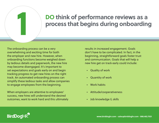## **1 DO think of performance reviews as a process that begins during onboarding**

The onboarding process can be a very overwhelming and exciting time for both the employer and new hire. However, when onboarding functions become weighed down by tedious details and paperwork, the new hire may become disengaged. It's important to set expectations and goals early on and begin tracking progress to get new hires on the right track. An automated onboarding process can simplify these tedious tasks and allow companies to engage employees from the beginning.

When employers are attentive to employees' success, new hires will understand the desired outcomes, want to work hard and this ultimately results in increased engagement. Goals don't have to be complicated. In fact, in the beginning, straightforward goals foster trust and communication. Goals that will help a new hire get on track early could include:

- Quality of work
- Quantity of work
- Work habits
- Attitude/cooperativeness
- Job knowledge & skills

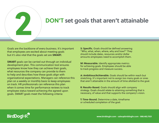

### **2 DON'T set goals that aren't attainable**

Goals are the backbone of every business. It's important that employees are excited about meeting goals but it's also vital that the goals set are **SMART.**

**SMART** goals can be carried out through an individual development plan. This communication tool ensures employees know how they can achieve their goals, what resources the company can provide to them to help and describes how these goals align with organizational expectations. Managers can reference this plan on a weekly or monthly basis to keep employees on track. HR professionals can reference this plan when it comes time for performance reviews to track employee status toward achieving the agreed upon goals. SMART goals meet the following criteria:

**S: Specific.** Goals should be defined answering "Who, what, when, where, why and how?" They should include dates, resources and/or dollar amounts employees need to accomplish them.

**M: Measurable.** Identify appropriate metrics for achieving goals. Employees should be able to track progress and measure success.

**A: Ambitious/Achievable.** Goals should be within reach but stretching. It's important not to assign too many goals or ones that aren't attainable in the amount of time allotted to the goal.

**R: Results-Based.** Goals should align with company strategy. Goals should relate to attaining something that is necessary, of value and that supports the company's vision.

**T: Time-Bound.** Determine a date, timeframe or scheduled completion of the goal.

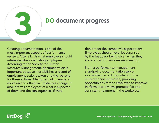

### **3 DO document progress**

Creating documentation is one of the most important aspects of performance reviews. After all, it is what employers should reference when evaluating employees. According to the Society for Human Resource Management, documentation is important because it establishes a record of employment actions taken and the reasons for these actions. Memories fail, managers move on and other circumstances change. It also informs employees of what is expected of them and the consequences if they

don't meet the company's expectations. Employees should never be surprised by the feedback being given when they are in a performance review meeting.

From a performance management standpoint, documentation serves as a written record to guide both the employer and employee, providing opportunities for the employee to improve. Performance reviews promote fair and consistent treatment in the workplace.

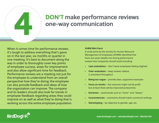

### **4 DON'T make performance reviews one-way communication**

When it comes time for performance reviews, it's tough to address everything that's gone on in the last year, six months or quarter in one meeting. It's best to document along the way in order to thoroughly cover key points of employee success, areas for improvement and also allow significant time for feedback. Performance reviews are a meeting not just for the employee to understand from an overall perspective how they're doing; the employee can also provide feedback and ideas of how the organization can improve. The company and its leaders should also look for trends in employee feedback regarding areas they could improve on as well as what they're doing that is working across the entire employee population.

### **SHRM Mini Facts**

A study done by the Society for Human Resource Management of employees (SHRM) identified that there are seven deadly sins during performance reviews that companies should avoid including:

- **• Late evaluations** don't leave employees feeling slighted
- **• Over-evaluation** keep reviews relative & consistent throughout
- **• Being too vague** provide clear, supportive examples
- **• Focus on results** the outcome might not be profit but at least there will be improved productivity
- **• Extremes** avoid words such as "never" and "always"
- **• Inconsistencies** comments should match numerical rankings
- **• Stereotyping** be objective to gender, age, etc.

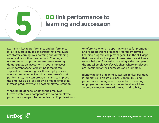

# **5 DO** link performance to learning and succession **learning and succession**

Learning is key to performance and performance is key to succession. It's important that employees are always learning, collaborating and developing as individuals within the company. Creating an environment that promotes employee learning demonstrates an investment in your employees. An important aspect of learning is that it can support performance goals. If an employer sees areas for improvement within an employee's work performance, they can provide training to improve the employee's skill set. This will engage employees, increase productivity and boost employee retention.

What can be done to lengthen the employee lifecycle within your company? Reviewing employee performance keeps tabs and notes for HR professionals to reference when an opportunity arises for promotion and filling positions of recently retired employees. Learning programs help managers fill in the skill gaps that may exist and help employees take their skill sets to new heights. Succession planning is the next part of the critical employee lifecycle chain where employees are identified for their successes and promoted.

Identifying and preparing successors for key positions is imperative to create business continuity. Using performance management supported by learning, employees understand competencies that will keep a company moving towards growth and stability.

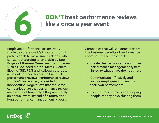

### **6 DON'T treat performance reviews like a once a year event**

Employee performance occurs every single day therefore it's important for HR professionals to make sure tracking is also constant. According to an article by Bob Rogers of Business Week, major companies such as Lockheed Martin, Merck, General Electric (GE), P&G and Kellogg's attribute a majority of their success to biannual performance reviews. Performance reviews shouldn't feel rushed, one-sided or inopportune. Rogers says that the same companies state that performance reviews are a waste of time only if they are merely an annual event instead of a formal yearlong performance management process.

Companies that will see direct bottom line business benefits of performance appraisals will be those that:

- Create clear accountabilities in their performance management system linked to what drives their business
- Communicate effectively and involve employees in managing their own performance
- Focus as much time on developing people as they do evaluating them

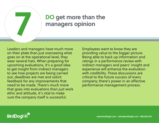

### **7 DO get more than the managers opinion**

Leaders and managers have much more on their plate than just overseeing what goes on at the operational level, they wear several hats. When preparing for upcoming evaluations, it's a good idea to get insight from indirect managers to see how projects are being carried out, deadlines are met and solicit feedback for any improvements that need to be made. There's much more that goes into evaluations than just work ethic and attitude, it's vital to make sure the company itself is successful.

Employees want to know they are providing value to the bigger picture. Being able to back up information and ratings in a performance review with indirect managers and peers' insight and experience will enhance the evaluation with credibility. These discussions are critical to the future success of every company; there's power in an effective performance management process.

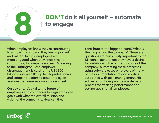

### **8 DON'T do it all yourself – automate to engage**

When employees know they're contributing to a growing company, they feel important and valued. In turn, employees are more engaged when they know they're contributing to company success. According to the Huffington Post, employee disengagement is costing the US \$500 billion every year. It's up to HR professionals and company leaders to treat employees as more than numbers on a spreadsheet.

On day one, it's vital to the future of employees and companies to align employee goals with what the overall mission and vision of the company is. How can they

contribute to the bigger picture? What is their impact on the company? These are questions are particularly important to the Millennial generation; they have a desire to contribute to the bigger purpose of the company. Automating these processes using software eases employers of many of the documentation responsibilities associated with goal management. HR software solutions provide a systematic process for tracking performance and setting goals for all employees.